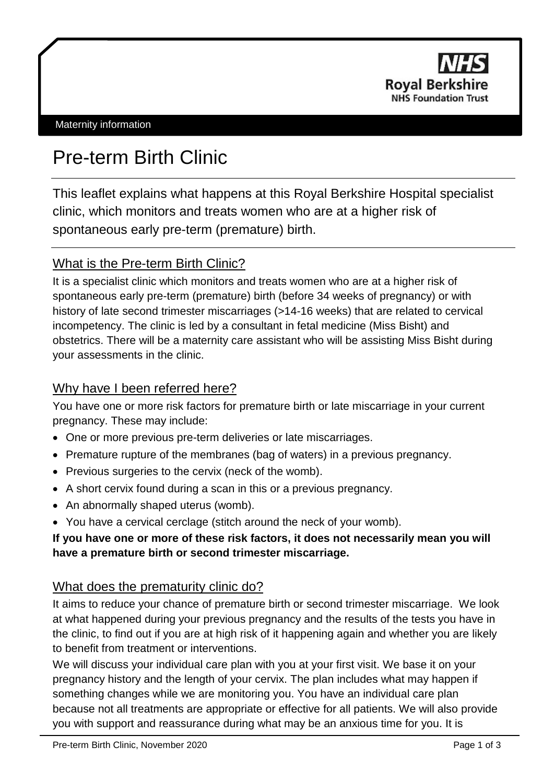

# Pre-term Birth Clinic

This leaflet explains what happens at this Royal Berkshire Hospital specialist clinic, which monitors and treats women who are at a higher risk of spontaneous early pre-term (premature) birth.

## What is the Pre-term Birth Clinic?

It is a specialist clinic which monitors and treats women who are at a higher risk of spontaneous early pre-term (premature) birth (before 34 weeks of pregnancy) or with history of late second trimester miscarriages (>14-16 weeks) that are related to cervical incompetency. The clinic is led by a consultant in fetal medicine (Miss Bisht) and obstetrics. There will be a maternity care assistant who will be assisting Miss Bisht during your assessments in the clinic.

## Why have I been referred here?

You have one or more risk factors for premature birth or late miscarriage in your current pregnancy. These may include:

- One or more previous pre-term deliveries or late miscarriages.
- Premature rupture of the membranes (bag of waters) in a previous pregnancy.
- Previous surgeries to the cervix (neck of the womb).
- A short cervix found during a scan in this or a previous pregnancy.
- An abnormally shaped uterus (womb).
- You have a cervical cerclage (stitch around the neck of your womb).

#### **If you have one or more of these risk factors, it does not necessarily mean you will have a premature birth or second trimester miscarriage.**

## What does the prematurity clinic do?

It aims to reduce your chance of premature birth or second trimester miscarriage. We look at what happened during your previous pregnancy and the results of the tests you have in the clinic, to find out if you are at high risk of it happening again and whether you are likely to benefit from treatment or interventions.

We will discuss your individual care plan with you at your first visit. We base it on your pregnancy history and the length of your cervix. The plan includes what may happen if something changes while we are monitoring you. You have an individual care plan because not all treatments are appropriate or effective for all patients. We will also provide you with support and reassurance during what may be an anxious time for you. It is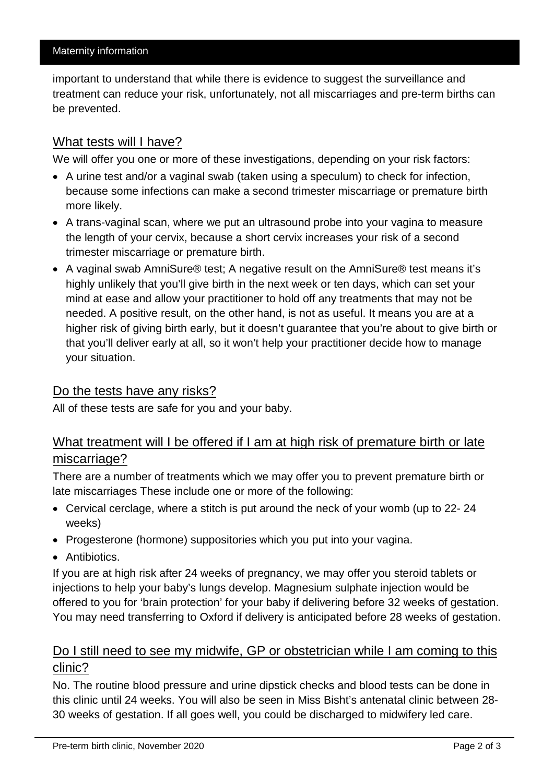important to understand that while there is evidence to suggest the surveillance and treatment can reduce your risk, unfortunately, not all miscarriages and pre-term births can be prevented.

#### What tests will I have?

We will offer you one or more of these investigations, depending on your risk factors:

- A urine test and/or a vaginal swab (taken using a speculum) to check for infection, because some infections can make a second trimester miscarriage or premature birth more likely.
- A trans-vaginal scan, where we put an ultrasound probe into your vagina to measure the length of your cervix, because a short cervix increases your risk of a second trimester miscarriage or premature birth.
- A vaginal swab AmniSure® test; A negative result on the AmniSure® test means it's highly unlikely that you'll give birth in the next week or ten days, which can set your mind at ease and allow your practitioner to hold off any treatments that may not be needed. A positive result, on the other hand, is not as useful. It means you are at a higher risk of giving birth early, but it doesn't guarantee that you're about to give birth or that you'll deliver early at all, so it won't help your practitioner decide how to manage your situation.

#### Do the tests have any risks?

All of these tests are safe for you and your baby.

## What treatment will I be offered if I am at high risk of premature birth or late miscarriage?

There are a number of treatments which we may offer you to prevent premature birth or late miscarriages These include one or more of the following:

- Cervical cerclage, where a stitch is put around the neck of your womb (up to 22- 24 weeks)
- Progesterone (hormone) suppositories which you put into your vagina.
- Antibiotics.

If you are at high risk after 24 weeks of pregnancy, we may offer you steroid tablets or injections to help your baby's lungs develop. Magnesium sulphate injection would be offered to you for 'brain protection' for your baby if delivering before 32 weeks of gestation. You may need transferring to Oxford if delivery is anticipated before 28 weeks of gestation.

### Do I still need to see my midwife, GP or obstetrician while I am coming to this clinic?

No. The routine blood pressure and urine dipstick checks and blood tests can be done in this clinic until 24 weeks. You will also be seen in Miss Bisht's antenatal clinic between 28- 30 weeks of gestation. If all goes well, you could be discharged to midwifery led care.